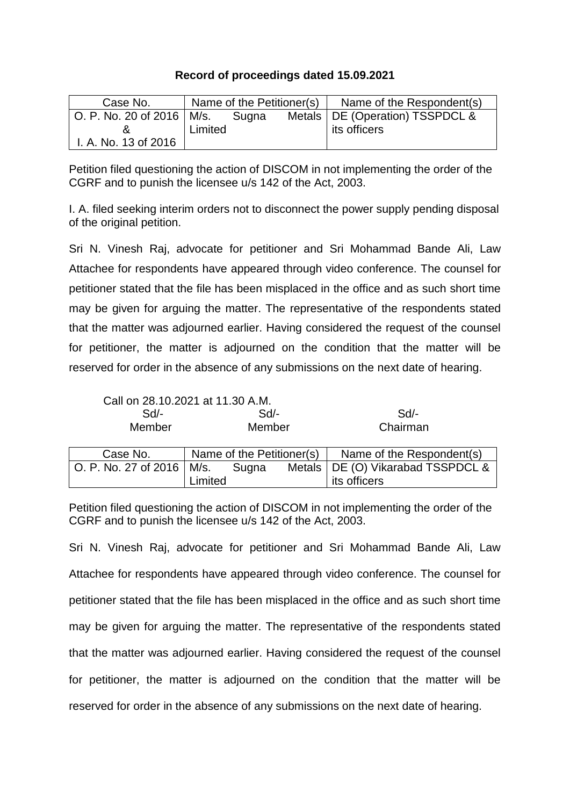## **Record of proceedings dated 15.09.2021**

| Case No.                    |         | Name of the Petitioner(s) | Name of the Respondent(s)         |
|-----------------------------|---------|---------------------------|-----------------------------------|
| O. P. No. 20 of 2016   M/s. |         | Sugna                     | Metals   DE (Operation) TSSPDCL & |
|                             | Limited |                           | its officers                      |
| I. A. No. 13 of 2016        |         |                           |                                   |

Petition filed questioning the action of DISCOM in not implementing the order of the CGRF and to punish the licensee u/s 142 of the Act, 2003.

I. A. filed seeking interim orders not to disconnect the power supply pending disposal of the original petition.

Sri N. Vinesh Raj, advocate for petitioner and Sri Mohammad Bande Ali, Law Attachee for respondents have appeared through video conference. The counsel for petitioner stated that the file has been misplaced in the office and as such short time may be given for arguing the matter. The representative of the respondents stated that the matter was adjourned earlier. Having considered the request of the counsel for petitioner, the matter is adjourned on the condition that the matter will be reserved for order in the absence of any submissions on the next date of hearing.

| Call on 28.10.2021 at 11.30 A.M. |
|----------------------------------|
|----------------------------------|

Limited

| Sd/-                        | $Sd$ -                    |  | Sd                                  |
|-----------------------------|---------------------------|--|-------------------------------------|
| Member                      | Member                    |  | Chairman                            |
| Case No.                    | Name of the Petitioner(s) |  | Name of the Respondent(s)           |
| O. P. No. 27 of 2016   M/s. | Sugna                     |  | Metals   DE (O) Vikarabad TSSPDCL & |

its officers

Petition filed questioning the action of DISCOM in not implementing the order of the CGRF and to punish the licensee u/s 142 of the Act, 2003.

Sri N. Vinesh Raj, advocate for petitioner and Sri Mohammad Bande Ali, Law Attachee for respondents have appeared through video conference. The counsel for petitioner stated that the file has been misplaced in the office and as such short time may be given for arguing the matter. The representative of the respondents stated that the matter was adjourned earlier. Having considered the request of the counsel for petitioner, the matter is adjourned on the condition that the matter will be reserved for order in the absence of any submissions on the next date of hearing.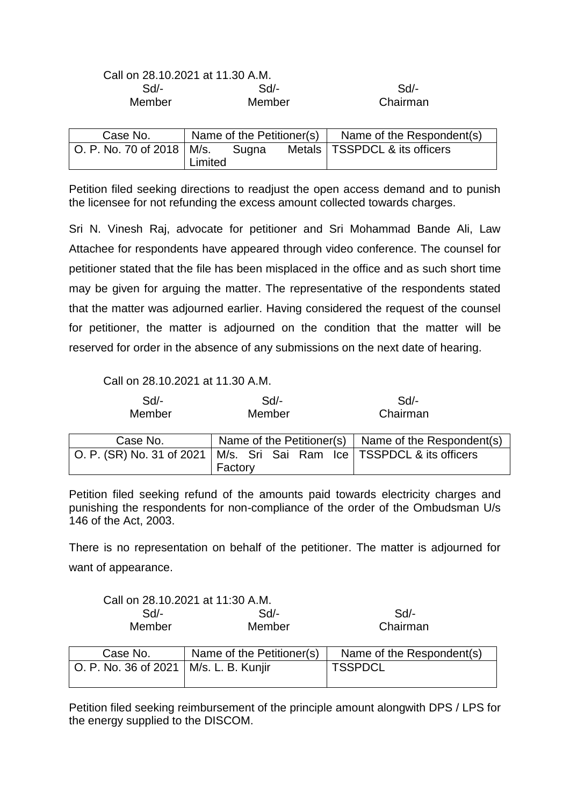| Call on 28.10.2021 at 11.30 A.M. |        |          |
|----------------------------------|--------|----------|
| Sd/-                             | $Sd$ - | $Sd/$ -  |
| Member                           | Member | Chairman |
|                                  |        |          |

| Case No.                    | Name of the Petitioner(s) |       | Name of the Respondent(s)       |
|-----------------------------|---------------------------|-------|---------------------------------|
| O. P. No. 70 of 2018   M/s. |                           | Sugna | Metals   TSSPDCL & its officers |
|                             | Limited                   |       |                                 |

Petition filed seeking directions to readjust the open access demand and to punish the licensee for not refunding the excess amount collected towards charges.

Sri N. Vinesh Raj, advocate for petitioner and Sri Mohammad Bande Ali, Law Attachee for respondents have appeared through video conference. The counsel for petitioner stated that the file has been misplaced in the office and as such short time may be given for arguing the matter. The representative of the respondents stated that the matter was adjourned earlier. Having considered the request of the counsel for petitioner, the matter is adjourned on the condition that the matter will be reserved for order in the absence of any submissions on the next date of hearing.

Call on 28.10.2021 at 11.30 A.M.

| Sd<br>Member              | $Sd$ -<br>Member                              | $Sd$ -<br>Chairman        |
|---------------------------|-----------------------------------------------|---------------------------|
| Case No.                  | Name of the Petitioner(s)                     | Name of the Respondent(s) |
| O. P. (SR) No. 31 of 2021 | M/s. Sri Sai Ram Ice   TSSPDCL & its officers |                           |
|                           | Factory                                       |                           |

Petition filed seeking refund of the amounts paid towards electricity charges and punishing the respondents for non-compliance of the order of the Ombudsman U/s 146 of the Act, 2003.

There is no representation on behalf of the petitioner. The matter is adjourned for want of appearance.

| Call on 28.10.2021 at 11:30 A.M. |        |          |
|----------------------------------|--------|----------|
| $Sd$ -                           | Sd     | Sd       |
| Member                           | Member | Chairman |

| Case No.                                 | Name of the Petitioner(s) | Name of the Respondent(s) |
|------------------------------------------|---------------------------|---------------------------|
| O. P. No. 36 of 2021   M/s. L. B. Kunjir |                           | 'TSSPDCL                  |
|                                          |                           |                           |

Petition filed seeking reimbursement of the principle amount alongwith DPS / LPS for the energy supplied to the DISCOM.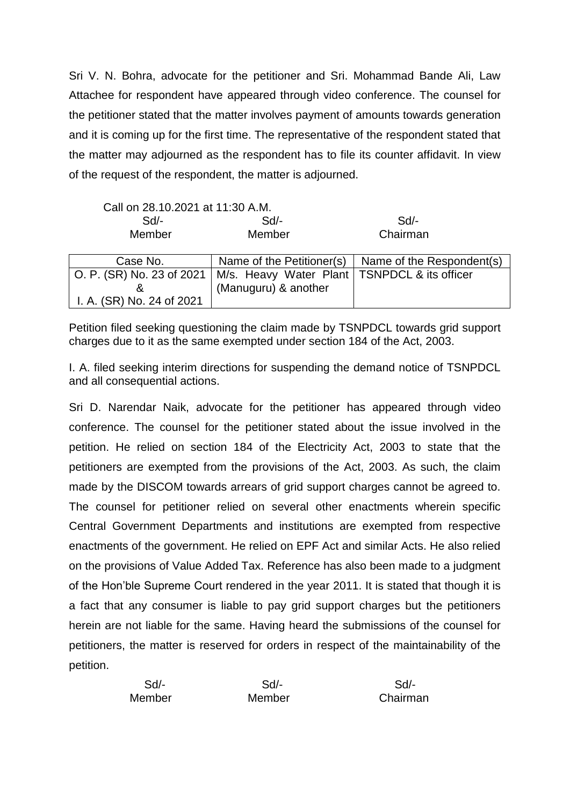Sri V. N. Bohra, advocate for the petitioner and Sri. Mohammad Bande Ali, Law Attachee for respondent have appeared through video conference. The counsel for the petitioner stated that the matter involves payment of amounts towards generation and it is coming up for the first time. The representative of the respondent stated that the matter may adjourned as the respondent has to file its counter affidavit. In view of the request of the respondent, the matter is adjourned.

| Call on 28.10.2021 at 11:30 A.M. |                                                |                           |
|----------------------------------|------------------------------------------------|---------------------------|
| Sd/-                             | $Sd$ -                                         | Sd/-                      |
| Member                           | Member                                         | Chairman                  |
|                                  |                                                |                           |
| Case No.                         | Name of the Petitioner(s)                      | Name of the Respondent(s) |
| O. P. (SR) No. 23 of 2021        | M/s. Heavy Water Plant   TSNPDCL & its officer |                           |
| &                                | (Manuguru) & another                           |                           |
| I. A. (SR) No. 24 of 2021        |                                                |                           |

Petition filed seeking questioning the claim made by TSNPDCL towards grid support charges due to it as the same exempted under section 184 of the Act, 2003.

I. A. filed seeking interim directions for suspending the demand notice of TSNPDCL and all consequential actions.

Sri D. Narendar Naik, advocate for the petitioner has appeared through video conference. The counsel for the petitioner stated about the issue involved in the petition. He relied on section 184 of the Electricity Act, 2003 to state that the petitioners are exempted from the provisions of the Act, 2003. As such, the claim made by the DISCOM towards arrears of grid support charges cannot be agreed to. The counsel for petitioner relied on several other enactments wherein specific Central Government Departments and institutions are exempted from respective enactments of the government. He relied on EPF Act and similar Acts. He also relied on the provisions of Value Added Tax. Reference has also been made to a judgment of the Hon'ble Supreme Court rendered in the year 2011. It is stated that though it is a fact that any consumer is liable to pay grid support charges but the petitioners herein are not liable for the same. Having heard the submissions of the counsel for petitioners, the matter is reserved for orders in respect of the maintainability of the petition.

| $Sd$ - | Sd/-   | Sd/-     |
|--------|--------|----------|
| Member | Member | Chairman |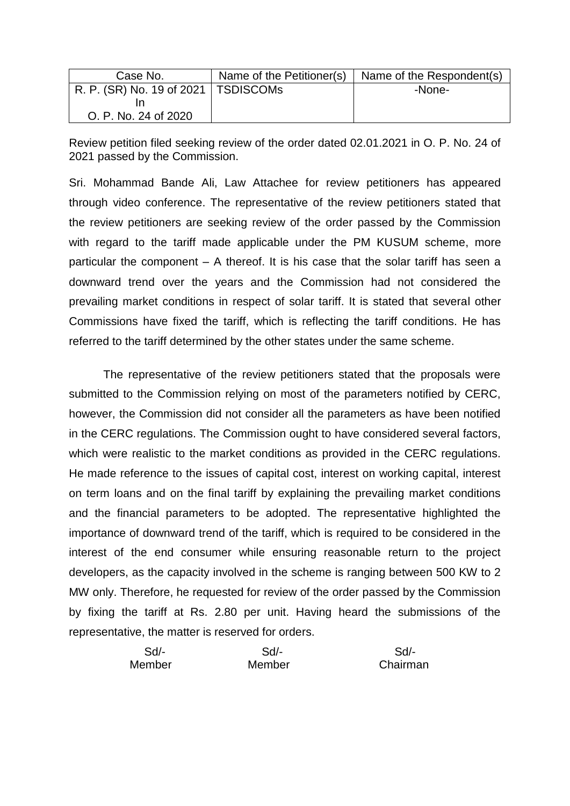| Case No.                              | Name of the Petitioner(s) | Name of the Respondent(s) |
|---------------------------------------|---------------------------|---------------------------|
| R. P. (SR) No. 19 of 2021   TSDISCOMs |                           | -None-                    |
|                                       |                           |                           |
| O. P. No. 24 of 2020                  |                           |                           |

Review petition filed seeking review of the order dated 02.01.2021 in O. P. No. 24 of 2021 passed by the Commission.

Sri. Mohammad Bande Ali, Law Attachee for review petitioners has appeared through video conference. The representative of the review petitioners stated that the review petitioners are seeking review of the order passed by the Commission with regard to the tariff made applicable under the PM KUSUM scheme, more particular the component – A thereof. It is his case that the solar tariff has seen a downward trend over the years and the Commission had not considered the prevailing market conditions in respect of solar tariff. It is stated that several other Commissions have fixed the tariff, which is reflecting the tariff conditions. He has referred to the tariff determined by the other states under the same scheme.

The representative of the review petitioners stated that the proposals were submitted to the Commission relying on most of the parameters notified by CERC, however, the Commission did not consider all the parameters as have been notified in the CERC regulations. The Commission ought to have considered several factors, which were realistic to the market conditions as provided in the CERC regulations. He made reference to the issues of capital cost, interest on working capital, interest on term loans and on the final tariff by explaining the prevailing market conditions and the financial parameters to be adopted. The representative highlighted the importance of downward trend of the tariff, which is required to be considered in the interest of the end consumer while ensuring reasonable return to the project developers, as the capacity involved in the scheme is ranging between 500 KW to 2 MW only. Therefore, he requested for review of the order passed by the Commission by fixing the tariff at Rs. 2.80 per unit. Having heard the submissions of the representative, the matter is reserved for orders.

| $Sd$ - | Sd/-   | Sd/-     |
|--------|--------|----------|
| Member | Member | Chairman |